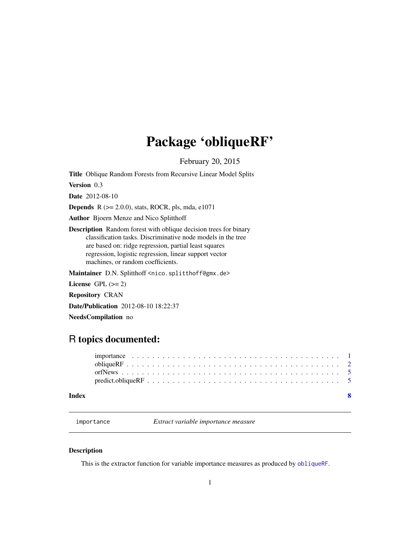## <span id="page-0-0"></span>Package 'obliqueRF'

February 20, 2015

Title Oblique Random Forests from Recursive Linear Model Splits

Version 0.3

Date 2012-08-10

Depends R (>= 2.0.0), stats, ROCR, pls, mda, e1071

Author Bjoern Menze and Nico Splitthoff

Description Random forest with oblique decision trees for binary classification tasks. Discriminative node models in the tree are based on: ridge regression, partial least squares regression, logistic regression, linear support vector machines, or random coefficients.

Maintainer D.N. Splitthoff <nico.splitthoff@gmx.de>

License GPL  $(>= 2)$ 

Repository CRAN

Date/Publication 2012-08-10 18:22:37

NeedsCompilation no

### R topics documented:

| Index |  |
|-------|--|
|       |  |
|       |  |
|       |  |
|       |  |

importance *Extract variable importance measure*

#### <span id="page-0-1"></span>Description

This is the extractor function for variable importance measures as produced by [obliqueRF](#page-1-1).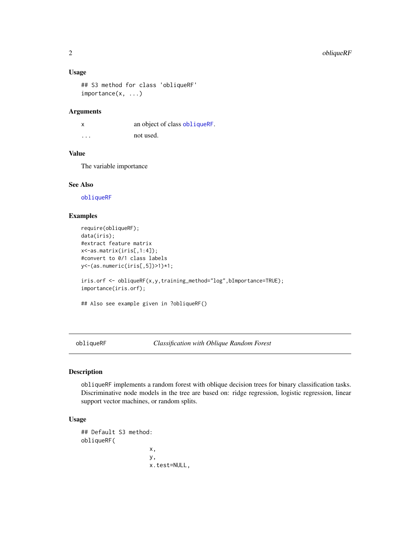#### <span id="page-1-0"></span>Usage

```
## S3 method for class 'obliqueRF'
importance(x, ...)
```
#### Arguments

x an object of class [obliqueRF](#page-1-1). ... not used.

#### Value

The variable importance

#### See Also

[obliqueRF](#page-1-1)

#### Examples

```
require(obliqueRF);
data(iris);
#extract feature matrix
x<-as.matrix(iris[,1:4]);
#convert to 0/1 class labels
y<-(as.numeric(iris[,5])>1)*1;
iris.orf <- obliqueRF(x,y,training_method="log",bImportance=TRUE);
importance(iris.orf);
## Also see example given in ?obliqueRF()
```
<span id="page-1-1"></span>obliqueRF *Classification with Oblique Random Forest*

#### Description

obliqueRF implements a random forest with oblique decision trees for binary classification tasks. Discriminative node models in the tree are based on: ridge regression, logistic regression, linear support vector machines, or random splits.

#### Usage

```
## Default S3 method:
obliqueRF(
                    x,
                    y,
                    x.test=NULL,
```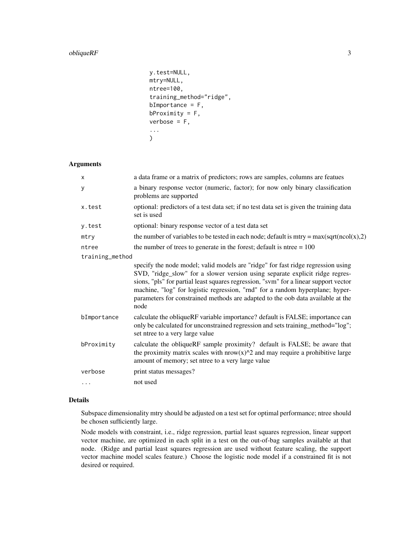#### obliqueRF 3

```
y.test=NULL,
mtry=NULL,
ntree=100,
training_method="ridge",
bImportance = F,
bProximity = F,
verbose = F,
...
\mathcal{L}
```
#### Arguments

| $\times$        | a data frame or a matrix of predictors; rows are samples, columns are featues                                                                                                                                                                                                                                                                                                                                                        |
|-----------------|--------------------------------------------------------------------------------------------------------------------------------------------------------------------------------------------------------------------------------------------------------------------------------------------------------------------------------------------------------------------------------------------------------------------------------------|
| y               | a binary response vector (numeric, factor); for now only binary classification<br>problems are supported                                                                                                                                                                                                                                                                                                                             |
| x.test          | optional: predictors of a test data set; if no test data set is given the training data<br>set is used                                                                                                                                                                                                                                                                                                                               |
| y.test          | optional: binary response vector of a test data set                                                                                                                                                                                                                                                                                                                                                                                  |
| mtry            | the number of variables to be tested in each node; default is mtry = $max(sqrt(ncol(x), 2))$                                                                                                                                                                                                                                                                                                                                         |
| ntree           | the number of trees to generate in the forest; default is ntree $= 100$                                                                                                                                                                                                                                                                                                                                                              |
| training_method |                                                                                                                                                                                                                                                                                                                                                                                                                                      |
|                 | specify the node model; valid models are "ridge" for fast ridge regression using<br>SVD, "ridge_slow" for a slower version using separate explicit ridge regres-<br>sions, "pls" for partial least squares regression, "svm" for a linear support vector<br>machine, "log" for logistic regression, "rnd" for a random hyperplane; hyper-<br>parameters for constrained methods are adapted to the oob data available at the<br>node |
| bImportance     | calculate the obliqueRF variable importance? default is FALSE; importance can<br>only be calculated for unconstrained regression and sets training_method="log";<br>set ntree to a very large value                                                                                                                                                                                                                                  |
| bProximity      | calculate the obliqueRF sample proximity? default is FALSE; be aware that<br>the proximity matrix scales with $nrow(x)^2$ and may require a prohibitive large<br>amount of memory; set ntree to a very large value                                                                                                                                                                                                                   |
| verbose         | print status messages?                                                                                                                                                                                                                                                                                                                                                                                                               |
| .               | not used                                                                                                                                                                                                                                                                                                                                                                                                                             |

#### Details

Subspace dimensionality mtry should be adjusted on a test set for optimal performance; ntree should be chosen sufficiently large.

Node models with constraint, i.e., ridge regression, partial least squares regression, linear support vector machine, are optimized in each split in a test on the out-of-bag samples available at that node. (Ridge and partial least squares regression are used without feature scaling, the support vector machine model scales feature.) Choose the logistic node model if a constrained fit is not desired or required.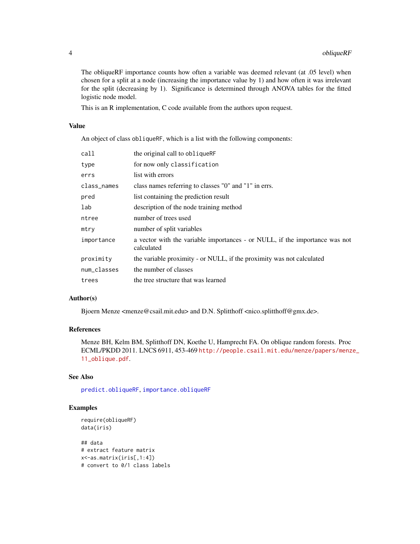The obliqueRF importance counts how often a variable was deemed relevant (at .05 level) when chosen for a split at a node (increasing the importance value by 1) and how often it was irrelevant for the split (decreasing by 1). Significance is determined through ANOVA tables for the fitted logistic node model.

This is an R implementation, C code available from the authors upon request.

#### Value

An object of class obliqueRF, which is a list with the following components:

| call        | the original call to obliqueRF                                                            |
|-------------|-------------------------------------------------------------------------------------------|
| type        | for now only classification                                                               |
| errs        | list with errors                                                                          |
| class_names | class names referring to classes "0" and "1" in errs.                                     |
| pred        | list containing the prediction result                                                     |
| lab         | description of the node training method                                                   |
| ntree       | number of trees used                                                                      |
| mtry        | number of split variables                                                                 |
| importance  | a vector with the variable importances - or NULL, if the importance was not<br>calculated |
| proximity   | the variable proximity - or NULL, if the proximity was not calculated                     |
| num_classes | the number of classes                                                                     |
| trees       | the tree structure that was learned                                                       |

#### Author(s)

Bjoern Menze <menze@csail.mit.edu> and D.N. Splitthoff <nico.splitthoff@gmx.de>.

#### References

Menze BH, Kelm BM, Splitthoff DN, Koethe U, Hamprecht FA. On oblique random forests. Proc ECML/PKDD 2011. LNCS 6911, 453-469 [http://people.csail.mit.edu/menze/papers/menz](http://people.csail.mit.edu/menze/papers/menze_11_oblique.pdf)e\_ [11\\_oblique.pdf](http://people.csail.mit.edu/menze/papers/menze_11_oblique.pdf).

#### See Also

[predict.obliqueRF](#page-4-1), [importance.obliqueRF](#page-0-1)

#### Examples

```
require(obliqueRF)
data(iris)
```
## data # extract feature matrix x<-as.matrix(iris[,1:4]) # convert to 0/1 class labels

<span id="page-3-0"></span>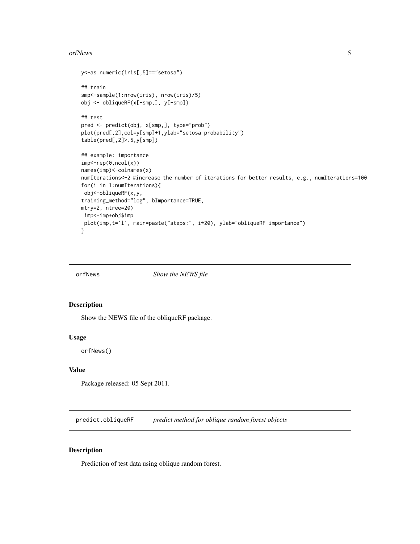#### <span id="page-4-0"></span>orfNews 5

```
y<-as.numeric(iris[,5]=="setosa")
## train
smp<-sample(1:nrow(iris), nrow(iris)/5)
obj <- obliqueRF(x[-smp,], y[-smp])
## test
pred <- predict(obj, x[smp,], type="prob")
plot(pred[,2],col=y[smp]+1,ylab="setosa probability")
table(pred[,2]>.5,y[smp])
## example: importance
imp < -rep(0, ncol(x))names(imp)<-colnames(x)
numIterations<-2 #increase the number of iterations for better results, e.g., numIterations=100
for(i in 1:numIterations){
obj<-obliqueRF(x,y,
training_method="log", bImportance=TRUE,
mtry=2, ntree=20)
imp<-imp+obj$imp
plot(imp,t='l', main=paste("steps:", i*20), ylab="obliqueRF importance")
}
```
orfNews *Show the NEWS file*

#### Description

Show the NEWS file of the obliqueRF package.

#### Usage

orfNews()

#### Value

Package released: 05 Sept 2011.

<span id="page-4-1"></span>predict.obliqueRF *predict method for oblique random forest objects*

#### Description

Prediction of test data using oblique random forest.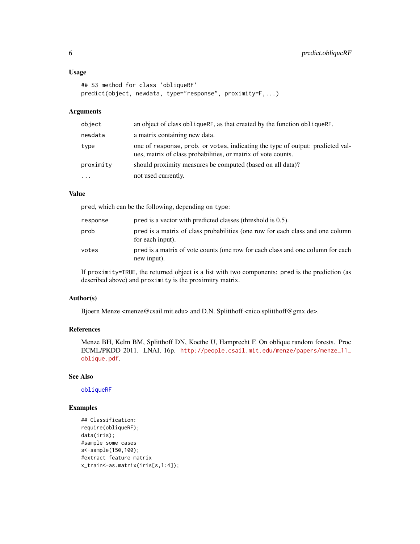#### <span id="page-5-0"></span>Usage

```
## S3 method for class 'obliqueRF'
predict(object, newdata, type="response", proximity=F,...)
```
#### Arguments

| object    | an object of class obliqueRF, as that created by the function obliqueRF.                                                                        |
|-----------|-------------------------------------------------------------------------------------------------------------------------------------------------|
| newdata   | a matrix containing new data.                                                                                                                   |
| type      | one of response, prob. or votes, indicating the type of output: predicted val-<br>ues, matrix of class probabilities, or matrix of vote counts. |
| proximity | should proximity measures be computed (based on all data)?                                                                                      |
| $\ddotsc$ | not used currently.                                                                                                                             |

#### Value

pred, which can be the following, depending on type:

| response | pred is a vector with predicted classes (threshold is 0.5).                                        |
|----------|----------------------------------------------------------------------------------------------------|
| prob     | pred is a matrix of class probabilities (one row for each class and one column<br>for each input). |
| votes    | pred is a matrix of vote counts (one row for each class and one column for each<br>new input).     |

If proximity=TRUE, the returned object is a list with two components: pred is the prediction (as described above) and proximity is the proximitry matrix.

#### Author(s)

Bjoern Menze <menze@csail.mit.edu> and D.N. Splitthoff <nico.splitthoff@gmx.de>.

#### References

Menze BH, Kelm BM, Splitthoff DN, Koethe U, Hamprecht F. On oblique random forests. Proc ECML/PKDD 2011. LNAI, 16p. [http://people.csail.mit.edu/menze/papers/menze\\_11\\_](http://people.csail.mit.edu/menze/papers/menze_11_oblique.pdf) [oblique.pdf](http://people.csail.mit.edu/menze/papers/menze_11_oblique.pdf).

#### See Also

[obliqueRF](#page-1-1)

#### Examples

```
## Classification:
require(obliqueRF);
data(iris);
#sample some cases
s<-sample(150,100);
#extract feature matrix
x_train<-as.matrix(iris[s,1:4]);
```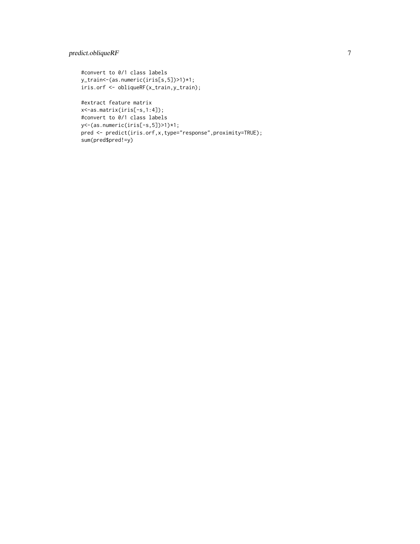#### predict.obliqueRF 7

```
#convert to 0/1 class labels
y_train<-(as.numeric(iris[s,5])>1)*1;
iris.orf <- obliqueRF(x_train,y_train);
```

```
#extract feature matrix
x<-as.matrix(iris[-s,1:4]);
#convert to 0/1 class labels
y<-(as.numeric(iris[-s,5])>1)*1;
pred <- predict(iris.orf,x,type="response",proximity=TRUE);
sum(pred$pred!=y)
```